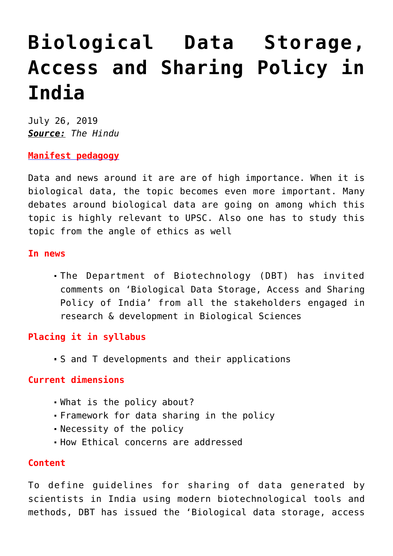# **[Biological Data Storage,](https://journalsofindia.com/biological-data-storage-access-and-sharing-policy-in-india/) [Access and Sharing Policy in](https://journalsofindia.com/biological-data-storage-access-and-sharing-policy-in-india/) [India](https://journalsofindia.com/biological-data-storage-access-and-sharing-policy-in-india/)**

July 26, 2019 *Source: The Hindu*

**[Manifest pedagogy](https://www.manifestias.com/2018/11/05/manifest-pedagogy-looking-beyond-the-issue/)**

Data and news around it are are of high importance. When it is biological data, the topic becomes even more important. Many debates around biological data are going on among which this topic is highly relevant to UPSC. Also one has to study this topic from the angle of ethics as well

#### **In news**

The Department of Biotechnology (DBT) has invited comments on 'Biological Data Storage, Access and Sharing Policy of India' from all the stakeholders engaged in research & development in Biological Sciences

## **Placing it in syllabus**

S and T developments and their applications

## **Current dimensions**

- What is the policy about?
- Framework for data sharing in the policy
- Necessity of the policy
- How Ethical concerns are addressed

### **Content**

To define guidelines for sharing of data generated by scientists in India using modern biotechnological tools and methods, DBT has issued the 'Biological data storage, access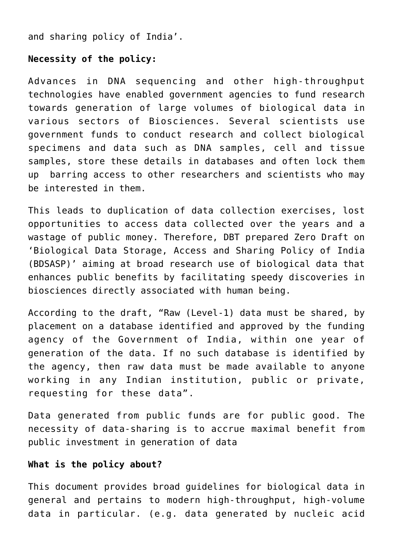and sharing policy of India'.

## **Necessity of the policy:**

Advances in DNA sequencing and other high-throughput technologies have enabled government agencies to fund research towards generation of large volumes of biological data in various sectors of Biosciences. Several scientists use government funds to conduct research and collect biological specimens and data such as DNA samples, cell and tissue samples, store these details in databases and often lock them up barring access to other researchers and scientists who may be interested in them.

This leads to duplication of data collection exercises, lost opportunities to access data collected over the years and a wastage of public money. Therefore, DBT prepared Zero Draft on 'Biological Data Storage, Access and Sharing Policy of India (BDSASP)' aiming at broad research use of biological data that enhances public benefits by facilitating speedy discoveries in biosciences directly associated with human being.

According to the draft, "Raw (Level-1) data must be shared, by placement on a database identified and approved by the funding agency of the Government of India, within one year of generation of the data. If no such database is identified by the agency, then raw data must be made available to anyone working in any Indian institution, public or private, requesting for these data".

Data generated from public funds are for public good. The necessity of data-sharing is to accrue maximal benefit from public investment in generation of data

### **What is the policy about?**

This document provides broad guidelines for biological data in general and pertains to modern high-throughput, high-volume data in particular. (e.g. data generated by nucleic acid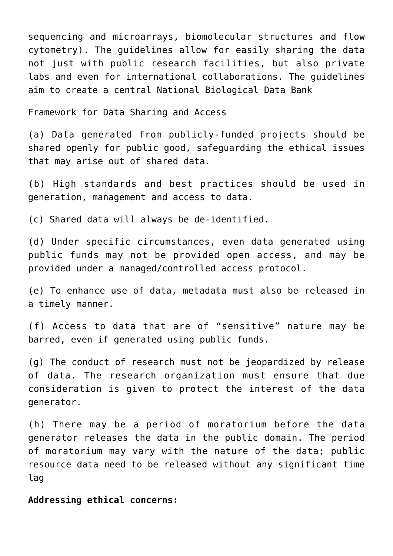sequencing and microarrays, biomolecular structures and flow cytometry). The guidelines allow for easily sharing the data not just with public research facilities, but also private labs and even for international collaborations. The guidelines aim to create a central National Biological Data Bank

Framework for Data Sharing and Access

(a) Data generated from publicly-funded projects should be shared openly for public good, safeguarding the ethical issues that may arise out of shared data.

(b) High standards and best practices should be used in generation, management and access to data.

(c) Shared data will always be de-identified.

(d) Under specific circumstances, even data generated using public funds may not be provided open access, and may be provided under a managed/controlled access protocol.

(e) To enhance use of data, metadata must also be released in a timely manner.

(f) Access to data that are of "sensitive" nature may be barred, even if generated using public funds.

(g) The conduct of research must not be jeopardized by release of data. The research organization must ensure that due consideration is given to protect the interest of the data generator.

(h) There may be a period of moratorium before the data generator releases the data in the public domain. The period of moratorium may vary with the nature of the data; public resource data need to be released without any significant time lag

**Addressing ethical concerns:**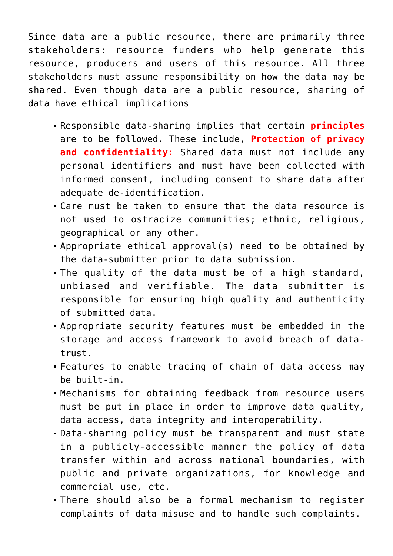Since data are a public resource, there are primarily three stakeholders: resource funders who help generate this resource, producers and users of this resource. All three stakeholders must assume responsibility on how the data may be shared. Even though data are a public resource, sharing of data have ethical implications

- Responsible data-sharing implies that certain **principles** are to be followed. These include, **Protection of privacy and confidentiality:** Shared data must not include any personal identifiers and must have been collected with informed consent, including consent to share data after adequate de-identification.
- Care must be taken to ensure that the data resource is not used to ostracize communities; ethnic, religious, geographical or any other.
- Appropriate ethical approval(s) need to be obtained by the data-submitter prior to data submission.
- The quality of the data must be of a high standard, unbiased and verifiable. The data submitter is responsible for ensuring high quality and authenticity of submitted data.
- Appropriate security features must be embedded in the storage and access framework to avoid breach of datatrust.
- Features to enable tracing of chain of data access may be built-in.
- Mechanisms for obtaining feedback from resource users must be put in place in order to improve data quality, data access, data integrity and interoperability.
- Data-sharing policy must be transparent and must state in a publicly-accessible manner the policy of data transfer within and across national boundaries, with public and private organizations, for knowledge and commercial use, etc.
- There should also be a formal mechanism to register complaints of data misuse and to handle such complaints.